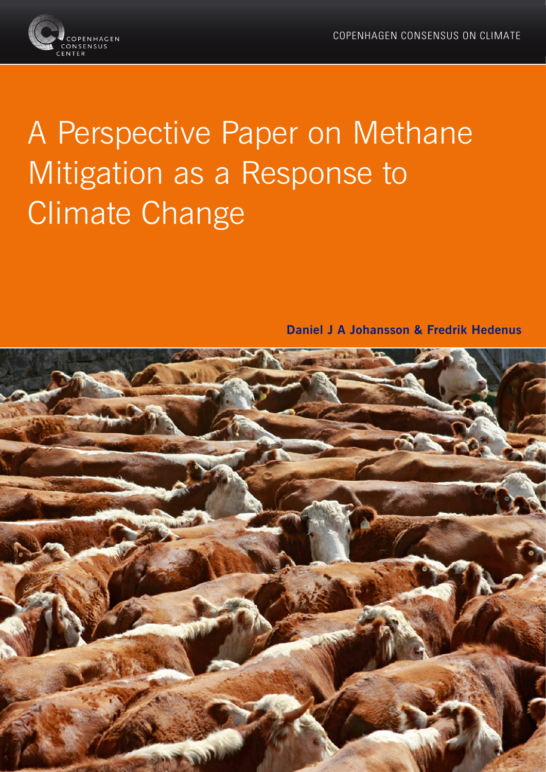

# A Perspective Paper on Methane Mitigation as a Response to Climate Change

**Daniel J A Johansson & Fredrik Hedenus**

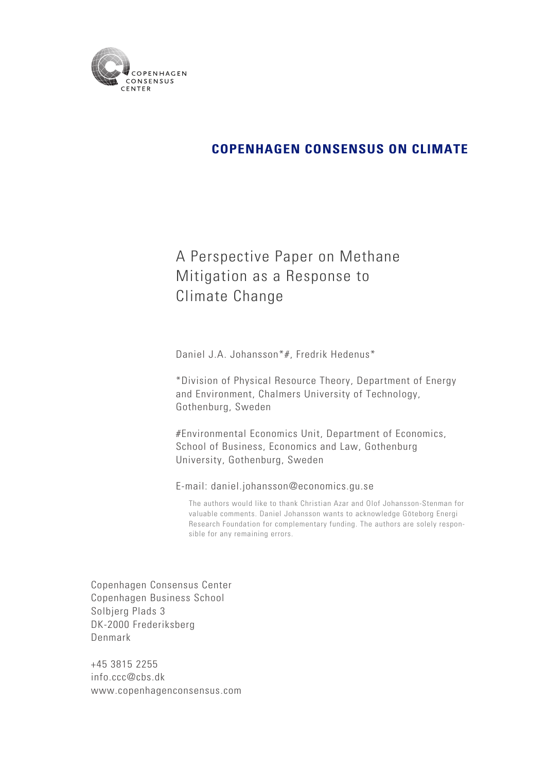

## A Perspective Paper on Methane Mitigation as a Response to Climate Change

Daniel J.A. Johansson\*#, Fredrik Hedenus\*

\*Division of Physical Resource Theory, Department of Energy and Environment, Chalmers University of Technology, Gothenburg, Sweden

#Environmental Economics Unit, Department of Economics, School of Business, Economics and Law, Gothenburg University, Gothenburg, Sweden

E-mail: daniel.johansson@economics.gu.se

The authors would like to thank Christian Azar and Olof Johansson-Stenman for valuable comments. Daniel Johansson wants to acknowledge Göteborg Energi Research Foundation for complementary funding. The authors are solely responsible for any remaining errors.

Copenhagen Consensus Center Copenhagen Business School Solbjerg Plads 3 DK-2000 Frederiksberg Denmark

+45 3815 2255 info.ccc@cbs.dk www.copenhagenconsensus.com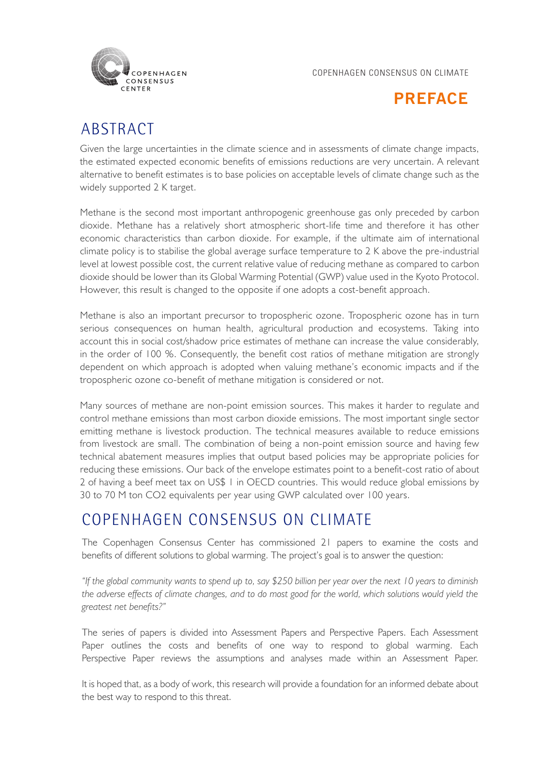



# **ABSTRACT**

Given the large uncertainties in the climate science and in assessments of climate change impacts, the estimated expected economic benefits of emissions reductions are very uncertain. A relevant alternative to benefit estimates is to base policies on acceptable levels of climate change such as the widely supported 2 K target.

Methane is the second most important anthropogenic greenhouse gas only preceded by carbon dioxide. Methane has a relatively short atmospheric short-life time and therefore it has other economic characteristics than carbon dioxide. For example, if the ultimate aim of international climate policy is to stabilise the global average surface temperature to 2 K above the pre-industrial level at lowest possible cost, the current relative value of reducing methane as compared to carbon dioxide should be lower than its Global Warming Potential (GWP) value used in the Kyoto Protocol. However, this result is changed to the opposite if one adopts a cost-benefit approach.

Methane is also an important precursor to tropospheric ozone. Tropospheric ozone has in turn serious consequences on human health, agricultural production and ecosystems. Taking into account this in social cost/shadow price estimates of methane can increase the value considerably, in the order of 100 %. Consequently, the benefit cost ratios of methane mitigation are strongly dependent on which approach is adopted when valuing methane's economic impacts and if the tropospheric ozone co-benefit of methane mitigation is considered or not.

Many sources of methane are non-point emission sources. This makes it harder to regulate and control methane emissions than most carbon dioxide emissions. The most important single sector emitting methane is livestock production. The technical measures available to reduce emissions from livestock are small. The combination of being a non-point emission source and having few technical abatement measures implies that output based policies may be appropriate policies for reducing these emissions. Our back of the envelope estimates point to a benefit-cost ratio of about 2 of having a beef meet tax on US\$ 1 in OECD countries. This would reduce global emissions by 30 to 70 M ton CO2 equivalents per year using GWP calculated over 100 years.

# Copenhagen Consensus ON Climate

The Copenhagen Consensus Center has commissioned 21 papers to examine the costs and benefits of different solutions to global warming. The project's goal is to answer the question:

*"If the global community wants to spend up to, say \$250 billion per year over the next 10 years to diminish the adverse effects of climate changes, and to do most good for the world, which solutions would yield the greatest net benefits?"*

The series of papers is divided into Assessment Papers and Perspective Papers. Each Assessment Paper outlines the costs and benefits of one way to respond to global warming. Each Perspective Paper reviews the assumptions and analyses made within an Assessment Paper.

It is hoped that, as a body of work, this research will provide a foundation for an informed debate about the best way to respond to this threat.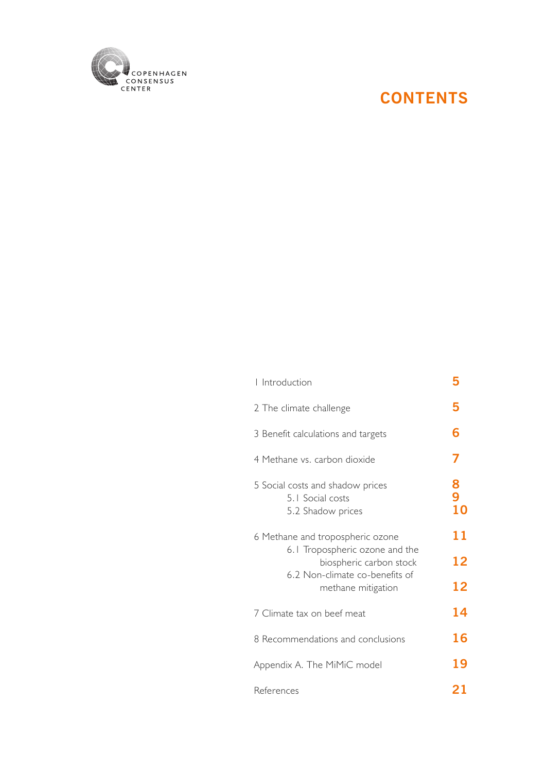# **CONTENTS**

| I Introduction                                                                                                                                        | 5            |  |  |  |
|-------------------------------------------------------------------------------------------------------------------------------------------------------|--------------|--|--|--|
| 2 The climate challenge                                                                                                                               | 5            |  |  |  |
| 3 Benefit calculations and targets                                                                                                                    | 6            |  |  |  |
| 4 Methane vs. carbon dioxide                                                                                                                          | 7            |  |  |  |
| 5 Social costs and shadow prices<br>5.1 Social costs<br>5.2 Shadow prices                                                                             | 8<br>9<br>10 |  |  |  |
| 6 Methane and tropospheric ozone<br>6.1 Tropospheric ozone and the<br>biospheric carbon stock<br>6.2 Non-climate co-benefits of<br>methane mitigation |              |  |  |  |
| 7 Climate tax on beef meat                                                                                                                            | 14           |  |  |  |
| 8 Recommendations and conclusions                                                                                                                     | 16           |  |  |  |
| Appendix A. The MiMiC model                                                                                                                           | 19           |  |  |  |
| References                                                                                                                                            | 21           |  |  |  |

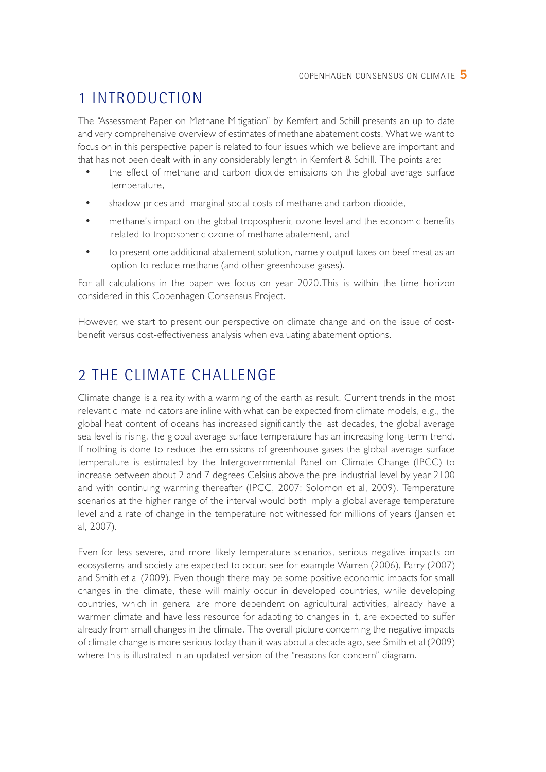# 1 Introduction

The "Assessment Paper on Methane Mitigation" by Kemfert and Schill presents an up to date and very comprehensive overview of estimates of methane abatement costs. What we want to focus on in this perspective paper is related to four issues which we believe are important and that has not been dealt with in any considerably length in Kemfert & Schill. The points are:

- the effect of methane and carbon dioxide emissions on the global average surface temperature,
- shadow prices and marginal social costs of methane and carbon dioxide,
- methane's impact on the global tropospheric ozone level and the economic benefits related to tropospheric ozone of methane abatement, and
- to present one additional abatement solution, namely output taxes on beef meat as an option to reduce methane (and other greenhouse gases).

For all calculations in the paper we focus on year 2020.This is within the time horizon considered in this Copenhagen Consensus Project.

However, we start to present our perspective on climate change and on the issue of costbenefit versus cost-effectiveness analysis when evaluating abatement options.

# 2 The climate challenge

Climate change is a reality with a warming of the earth as result. Current trends in the most relevant climate indicators are inline with what can be expected from climate models, e.g., the global heat content of oceans has increased significantly the last decades, the global average sea level is rising, the global average surface temperature has an increasing long-term trend. If nothing is done to reduce the emissions of greenhouse gases the global average surface temperature is estimated by the Intergovernmental Panel on Climate Change (IPCC) to increase between about 2 and 7 degrees Celsius above the pre-industrial level by year 2100 and with continuing warming thereafter (IPCC, 2007; Solomon et al, 2009). Temperature scenarios at the higher range of the interval would both imply a global average temperature level and a rate of change in the temperature not witnessed for millions of years (Jansen et al, 2007).

Even for less severe, and more likely temperature scenarios, serious negative impacts on ecosystems and society are expected to occur, see for example Warren (2006), Parry (2007) and Smith et al (2009). Even though there may be some positive economic impacts for small changes in the climate, these will mainly occur in developed countries, while developing countries, which in general are more dependent on agricultural activities, already have a warmer climate and have less resource for adapting to changes in it, are expected to suffer already from small changes in the climate. The overall picture concerning the negative impacts of climate change is more serious today than it was about a decade ago, see Smith et al (2009) where this is illustrated in an updated version of the "reasons for concern" diagram.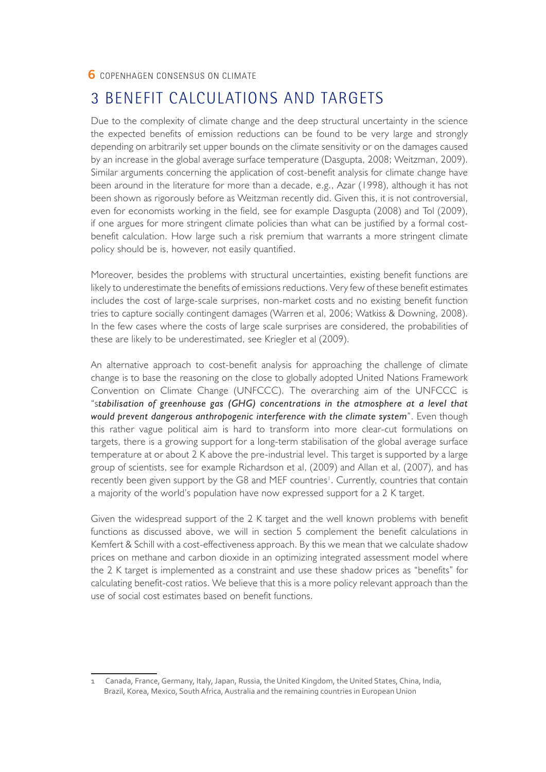### 3 Benefit calculations and targets

Due to the complexity of climate change and the deep structural uncertainty in the science the expected benefits of emission reductions can be found to be very large and strongly depending on arbitrarily set upper bounds on the climate sensitivity or on the damages caused by an increase in the global average surface temperature (Dasgupta, 2008; Weitzman, 2009). Similar arguments concerning the application of cost-benefit analysis for climate change have been around in the literature for more than a decade, e.g., Azar (1998), although it has not been shown as rigorously before as Weitzman recently did. Given this, it is not controversial, even for economists working in the field, see for example Dasgupta (2008) and Tol (2009), if one argues for more stringent climate policies than what can be justified by a formal costbenefit calculation. How large such a risk premium that warrants a more stringent climate policy should be is, however, not easily quantified.

Moreover, besides the problems with structural uncertainties, existing benefit functions are likely to underestimate the benefits of emissions reductions. Very few of these benefit estimates includes the cost of large-scale surprises, non-market costs and no existing benefit function tries to capture socially contingent damages (Warren et al, 2006; Watkiss & Downing, 2008). In the few cases where the costs of large scale surprises are considered, the probabilities of these are likely to be underestimated, see Kriegler et al (2009).

An alternative approach to cost-benefit analysis for approaching the challenge of climate change is to base the reasoning on the close to globally adopted United Nations Framework Convention on Climate Change (UNFCCC). The overarching aim of the UNFCCC is "s*tabilisation of greenhouse gas (GHG) concentrations in the atmosphere at a level that would prevent dangerous anthropogenic interference with the climate system*". Even though this rather vague political aim is hard to transform into more clear-cut formulations on targets, there is a growing support for a long-term stabilisation of the global average surface temperature at or about 2 K above the pre-industrial level. This target is supported by a large group of scientists, see for example Richardson et al, (2009) and Allan et al, (2007), and has recently been given support by the G8 and MEF countries<sup>1</sup>. Currently, countries that contain a majority of the world's population have now expressed support for a 2 K target.

Given the widespread support of the 2 K target and the well known problems with benefit functions as discussed above, we will in section 5 complement the benefit calculations in Kemfert & Schill with a cost-effectiveness approach. By this we mean that we calculate shadow prices on methane and carbon dioxide in an optimizing integrated assessment model where the 2 K target is implemented as a constraint and use these shadow prices as "benefits" for calculating benefit-cost ratios. We believe that this is a more policy relevant approach than the use of social cost estimates based on benefit functions.

Canada, France, Germany, Italy, Japan, Russia, the United Kingdom, the United States, China, India, Brazil, Korea, Mexico, South Africa, Australia and the remaining countries in European Union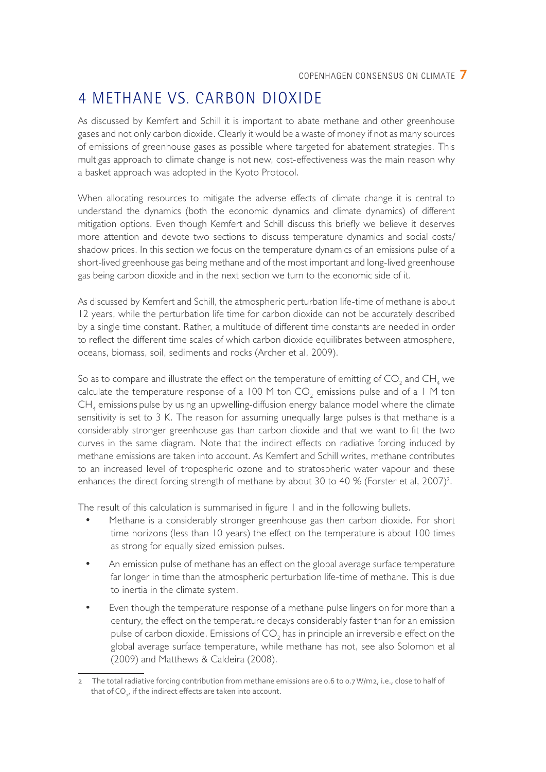# 4 Methane vs. carbon dioxide

As discussed by Kemfert and Schill it is important to abate methane and other greenhouse gases and not only carbon dioxide. Clearly it would be a waste of money if not as many sources of emissions of greenhouse gases as possible where targeted for abatement strategies. This multigas approach to climate change is not new, cost-effectiveness was the main reason why a basket approach was adopted in the Kyoto Protocol.

When allocating resources to mitigate the adverse effects of climate change it is central to understand the dynamics (both the economic dynamics and climate dynamics) of different mitigation options. Even though Kemfert and Schill discuss this briefly we believe it deserves more attention and devote two sections to discuss temperature dynamics and social costs/ shadow prices. In this section we focus on the temperature dynamics of an emissions pulse of a short-lived greenhouse gas being methane and of the most important and long-lived greenhouse gas being carbon dioxide and in the next section we turn to the economic side of it.

As discussed by Kemfert and Schill, the atmospheric perturbation life-time of methane is about 12 years, while the perturbation life time for carbon dioxide can not be accurately described by a single time constant. Rather, a multitude of different time constants are needed in order to reflect the different time scales of which carbon dioxide equilibrates between atmosphere, oceans, biomass, soil, sediments and rocks (Archer et al, 2009).

So as to compare and illustrate the effect on the temperature of emitting of CO<sub>2</sub> and CH<sub>4</sub> we calculate the temperature response of a 100 M ton  $CO_2$  emissions pulse and of a 1 M ton  $\textsf{CH}_4$  emissions pulse by using an upwelling-diffusion energy balance model where the climate sensitivity is set to 3 K. The reason for assuming unequally large pulses is that methane is a considerably stronger greenhouse gas than carbon dioxide and that we want to fit the two curves in the same diagram. Note that the indirect effects on radiative forcing induced by methane emissions are taken into account. As Kemfert and Schill writes, methane contributes to an increased level of tropospheric ozone and to stratospheric water vapour and these enhances the direct forcing strength of methane by about 30 to 40 % (Forster et al, 2007)<sup>2</sup>.

The result of this calculation is summarised in figure 1 and in the following bullets.

- Methane is a considerably stronger greenhouse gas then carbon dioxide. For short time horizons (less than 10 years) the effect on the temperature is about 100 times as strong for equally sized emission pulses.
- An emission pulse of methane has an effect on the global average surface temperature far longer in time than the atmospheric perturbation life-time of methane. This is due to inertia in the climate system.
- Even though the temperature response of a methane pulse lingers on for more than a century, the effect on the temperature decays considerably faster than for an emission pulse of carbon dioxide. Emissions of CO $_2$  has in principle an irreversible effect on the global average surface temperature, while methane has not, see also Solomon et al (2009) and Matthews & Caldeira (2008).

<sup>2</sup> The total radiative forcing contribution from methane emissions are 0.6 to 0.7 W/m2, i.e., close to half of that of CO<sub>2</sub>, if the indirect effects are taken into account.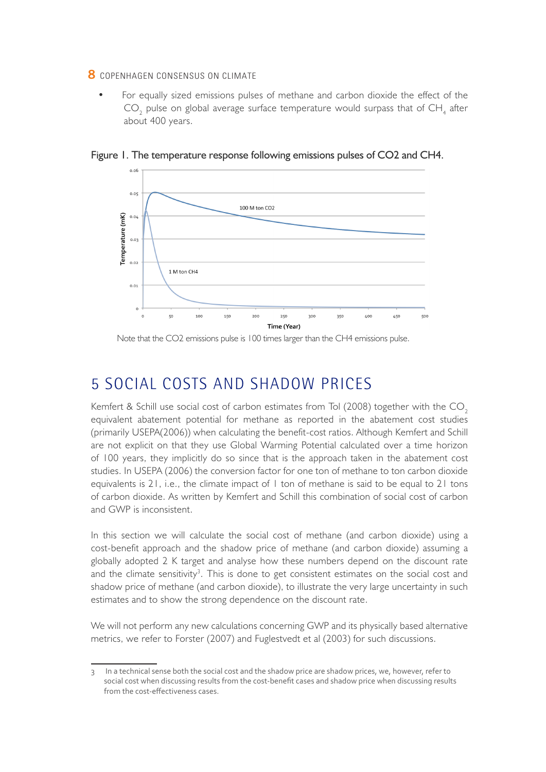For equally sized emissions pulses of methane and carbon dioxide the effect of the  $\text{CO}_2$  pulse on global average surface temperature would surpass that of  $\text{CH}_4$  after about 400 years.



Figure 1. The temperature response following emissions pulses of CO2 and CH4.

Note that the CO2 emissions pulse is 100 times larger than the CH4 emissions pulse.

### 5 Social costs and shadow prices

Kemfert & Schill use social cost of carbon estimates from Tol  $(2008)$  together with the CO<sub>2</sub> equivalent abatement potential for methane as reported in the abatement cost studies (primarily USEPA(2006)) when calculating the benefit-cost ratios. Although Kemfert and Schill are not explicit on that they use Global Warming Potential calculated over a time horizon of 100 years, they implicitly do so since that is the approach taken in the abatement cost studies. In USEPA (2006) the conversion factor for one ton of methane to ton carbon dioxide equivalents is 21, i.e., the climate impact of 1 ton of methane is said to be equal to 21 tons of carbon dioxide. As written by Kemfert and Schill this combination of social cost of carbon and GWP is inconsistent.

In this section we will calculate the social cost of methane (and carbon dioxide) using a cost-benefit approach and the shadow price of methane (and carbon dioxide) assuming a globally adopted 2 K target and analyse how these numbers depend on the discount rate and the climate sensitivity<sup>3</sup>. This is done to get consistent estimates on the social cost and shadow price of methane (and carbon dioxide), to illustrate the very large uncertainty in such estimates and to show the strong dependence on the discount rate.

We will not perform any new calculations concerning GWP and its physically based alternative metrics, we refer to Forster (2007) and Fuglestvedt et al (2003) for such discussions.

<sup>3</sup> In a technical sense both the social cost and the shadow price are shadow prices, we, however, refer to social cost when discussing results from the cost-benefit cases and shadow price when discussing results from the cost-effectiveness cases.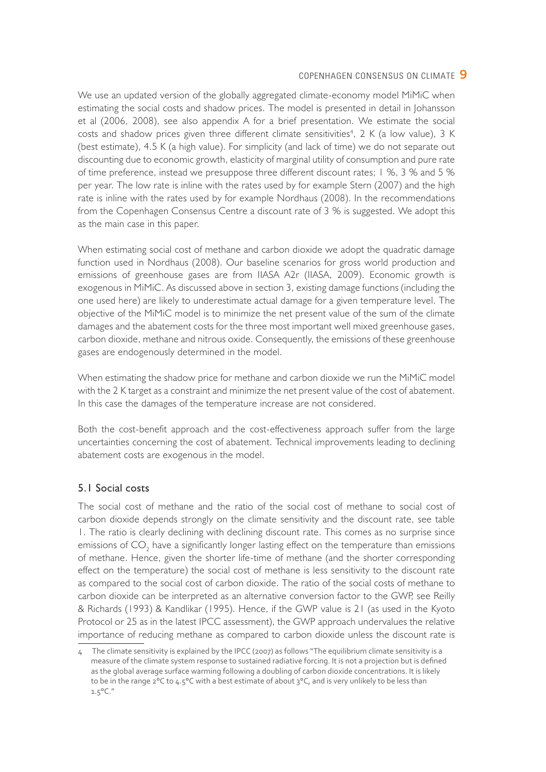We use an updated version of the globally aggregated climate-economy model MiMiC when estimating the social costs and shadow prices. The model is presented in detail in Johansson et al (2006, 2008), see also appendix A for a brief presentation. We estimate the social costs and shadow prices given three different climate sensitivities<sup>4</sup>, 2 K (a low value), 3 K (best estimate), 4.5 K (a high value). For simplicity (and lack of time) we do not separate out discounting due to economic growth, elasticity of marginal utility of consumption and pure rate of time preference, instead we presuppose three different discount rates; 1 %, 3 % and 5 % per year. The low rate is inline with the rates used by for example Stern (2007) and the high rate is inline with the rates used by for example Nordhaus (2008). In the recommendations from the Copenhagen Consensus Centre a discount rate of 3 % is suggested. We adopt this as the main case in this paper.

When estimating social cost of methane and carbon dioxide we adopt the quadratic damage function used in Nordhaus (2008). Our baseline scenarios for gross world production and emissions of greenhouse gases are from IIASA A2r (IIASA, 2009). Economic growth is exogenous in MiMiC. As discussed above in section 3, existing damage functions (including the one used here) are likely to underestimate actual damage for a given temperature level. The objective of the MiMiC model is to minimize the net present value of the sum of the climate damages and the abatement costs for the three most important well mixed greenhouse gases, carbon dioxide, methane and nitrous oxide. Consequently, the emissions of these greenhouse gases are endogenously determined in the model.

When estimating the shadow price for methane and carbon dioxide we run the MiMiC model with the 2 K target as a constraint and minimize the net present value of the cost of abatement. In this case the damages of the temperature increase are not considered.

Both the cost-benefit approach and the cost-effectiveness approach suffer from the large uncertainties concerning the cost of abatement. Technical improvements leading to declining abatement costs are exogenous in the model.

#### 5.1 Social costs

The social cost of methane and the ratio of the social cost of methane to social cost of carbon dioxide depends strongly on the climate sensitivity and the discount rate, see table 1. The ratio is clearly declining with declining discount rate. This comes as no surprise since emissions of CO<sub>2</sub> have a significantly longer lasting effect on the temperature than emissions of methane. Hence, given the shorter life-time of methane (and the shorter corresponding effect on the temperature) the social cost of methane is less sensitivity to the discount rate as compared to the social cost of carbon dioxide. The ratio of the social costs of methane to carbon dioxide can be interpreted as an alternative conversion factor to the GWP, see Reilly & Richards (1993) & Kandlikar (1995). Hence, if the GWP value is 21 (as used in the Kyoto Protocol or 25 as in the latest IPCC assessment), the GWP approach undervalues the relative importance of reducing methane as compared to carbon dioxide unless the discount rate is

<sup>4</sup> The climate sensitivity is explained by the IPCC (2007) as follows "The equilibrium climate sensitivity is a measure of the climate system response to sustained radiative forcing. It is not a projection but is defined as the global average surface warming following a doubling of carbon dioxide concentrations. It is likely to be in the range 2°C to 4.5°C with a best estimate of about 3°C, and is very unlikely to be less than  $1.5^{\circ}$ C."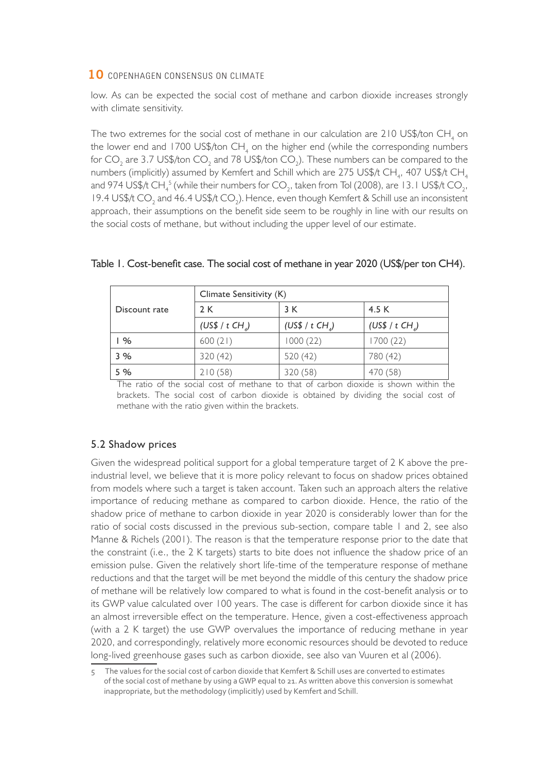low. As can be expected the social cost of methane and carbon dioxide increases strongly with climate sensitivity.

The two extremes for the social cost of methane in our calculation are 210 US\$/ton CH<sub>4</sub> on the lower end and 1700 US\$/ton CH<sub>4</sub> on the higher end (while the corresponding numbers for CO<sub>2</sub> are 3.7 US\$/ton CO<sub>2</sub> and 78 US\$/ton CO<sub>2</sub>). These numbers can be compared to the numbers (implicitly) assumed by Kemfert and Schill which are 275 US\$/t CH<sub>4</sub>, 407 US\$/t CH<sub>4</sub> and 974 US\$/t CH $_4^{\,5}$  (while their numbers for CO $_2$ , taken from Tol (2008), are 13.1 US\$/t CO $_2^{\,}$ , 19.4 US\$/t CO<sub>2</sub> and 46.4 US\$/t CO<sub>2</sub>). Hence, even though Kemfert & Schill use an inconsistent approach, their assumptions on the benefit side seem to be roughly in line with our results on the social costs of methane, but without including the upper level of our estimate.

|               | Climate Sensitivity (K)       |                               |                             |  |  |  |
|---------------|-------------------------------|-------------------------------|-----------------------------|--|--|--|
| Discount rate | 2 K                           | 3 K                           | 4.5 K                       |  |  |  |
|               | (US\$ / $t$ CH <sub>4</sub> ) | (US\$ / $t$ CH <sub>4</sub> ) | (US\$ / t CH <sub>a</sub> ) |  |  |  |
| %             | 600(21)                       | 1000(22)                      | 1700 (22)                   |  |  |  |
| 3%            | 320(42)                       | 520 (42)                      | 780 (42)                    |  |  |  |
| 5 %           | 210(58)                       | 320 (58)                      | 470 (58)                    |  |  |  |

#### Table 1. Cost-benefit case. The social cost of methane in year 2020 (US\$/per ton CH4).

The ratio of the social cost of methane to that of carbon dioxide is shown within the brackets. The social cost of carbon dioxide is obtained by dividing the social cost of methane with the ratio given within the brackets.

#### 5.2 Shadow prices

Given the widespread political support for a global temperature target of 2 K above the preindustrial level, we believe that it is more policy relevant to focus on shadow prices obtained from models where such a target is taken account. Taken such an approach alters the relative importance of reducing methane as compared to carbon dioxide. Hence, the ratio of the shadow price of methane to carbon dioxide in year 2020 is considerably lower than for the ratio of social costs discussed in the previous sub-section, compare table 1 and 2, see also Manne & Richels (2001). The reason is that the temperature response prior to the date that the constraint (i.e., the 2 K targets) starts to bite does not influence the shadow price of an emission pulse. Given the relatively short life-time of the temperature response of methane reductions and that the target will be met beyond the middle of this century the shadow price of methane will be relatively low compared to what is found in the cost-benefit analysis or to its GWP value calculated over 100 years. The case is different for carbon dioxide since it has an almost irreversible effect on the temperature. Hence, given a cost-effectiveness approach (with a 2 K target) the use GWP overvalues the importance of reducing methane in year 2020, and correspondingly, relatively more economic resources should be devoted to reduce long-lived greenhouse gases such as carbon dioxide, see also van Vuuren et al (2006).

<sup>5</sup> The values for the social cost of carbon dioxide that Kemfert & Schill uses are converted to estimates of the social cost of methane by using a GWP equal to 21. As written above this conversion is somewhat inappropriate, but the methodology (implicitly) used by Kemfert and Schill.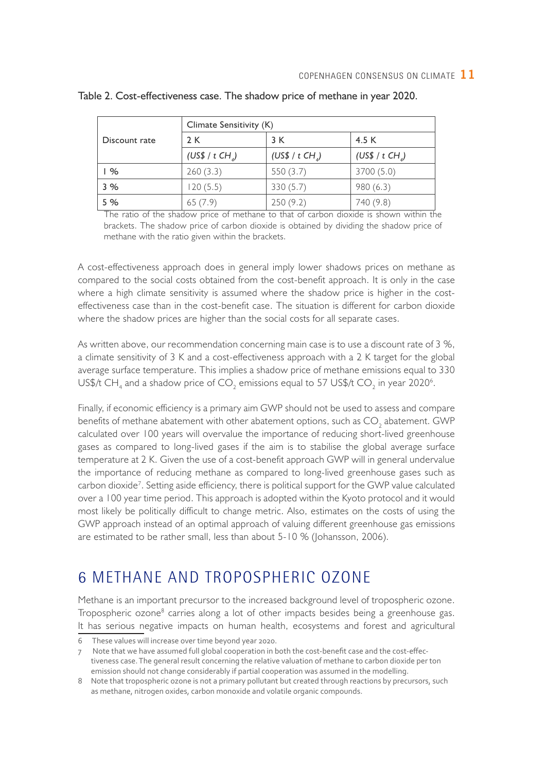|               | Climate Sensitivity (K)       |                               |                               |  |  |  |
|---------------|-------------------------------|-------------------------------|-------------------------------|--|--|--|
| Discount rate | 2 K                           | 3 K                           | 4.5 K                         |  |  |  |
|               | (US\$ / $t$ CH <sub>4</sub> ) | (US\$ / $t$ CH <sub>4</sub> ) | (US\$ / $t$ CH <sub>4</sub> ) |  |  |  |
| %             | 260(3.3)                      | 550(3.7)                      | 3700 (5.0)                    |  |  |  |
| 3%            | 120(5.5)                      | 330(5.7)                      | 980(6.3)                      |  |  |  |
| 5 %           | 65(7.9)                       | 250(9.2)                      | 740 (9.8)                     |  |  |  |

Table 2. Cost-effectiveness case. The shadow price of methane in year 2020.

The ratio of the shadow price of methane to that of carbon dioxide is shown within the brackets. The shadow price of carbon dioxide is obtained by dividing the shadow price of methane with the ratio given within the brackets.

A cost-effectiveness approach does in general imply lower shadows prices on methane as compared to the social costs obtained from the cost-benefit approach. It is only in the case where a high climate sensitivity is assumed where the shadow price is higher in the costeffectiveness case than in the cost-benefit case. The situation is different for carbon dioxide where the shadow prices are higher than the social costs for all separate cases.

As written above, our recommendation concerning main case is to use a discount rate of 3 %, a climate sensitivity of 3 K and a cost-effectiveness approach with a 2 K target for the global average surface temperature. This implies a shadow price of methane emissions equal to 330 US\$/t CH<sub>4</sub> and a shadow price of CO<sub>2</sub> emissions equal to 57 US\$/t CO<sub>2</sub> in year 2020<sup>6</sup>.

Finally, if economic efficiency is a primary aim GWP should not be used to assess and compare benefits of methane abatement with other abatement options, such as  $\mathrm{CO}_\mathrm{_2}$  abatement. GWP calculated over 100 years will overvalue the importance of reducing short-lived greenhouse gases as compared to long-lived gases if the aim is to stabilise the global average surface temperature at 2 K. Given the use of a cost-benefit approach GWP will in general undervalue the importance of reducing methane as compared to long-lived greenhouse gases such as carbon dioxide<sup>7</sup>. Setting aside efficiency, there is political support for the GWP value calculated over a 100 year time period. This approach is adopted within the Kyoto protocol and it would most likely be politically difficult to change metric. Also, estimates on the costs of using the GWP approach instead of an optimal approach of valuing different greenhouse gas emissions are estimated to be rather small, less than about 5-10 % (Johansson, 2006).

## 6 Methane and tropospheric ozone

Methane is an important precursor to the increased background level of tropospheric ozone. Tropospheric ozone<sup>8</sup> carries along a lot of other impacts besides being a greenhouse gas. It has serious negative impacts on human health, ecosystems and forest and agricultural

<sup>6</sup> These values will increase over time beyond year 2020.

<sup>7</sup> Note that we have assumed full global cooperation in both the cost-benefit case and the cost-effectiveness case. The general result concerning the relative valuation of methane to carbon dioxide per ton emission should not change considerably if partial cooperation was assumed in the modelling.

<sup>8</sup> Note that tropospheric ozone is not a primary pollutant but created through reactions by precursors, such as methane, nitrogen oxides, carbon monoxide and volatile organic compounds.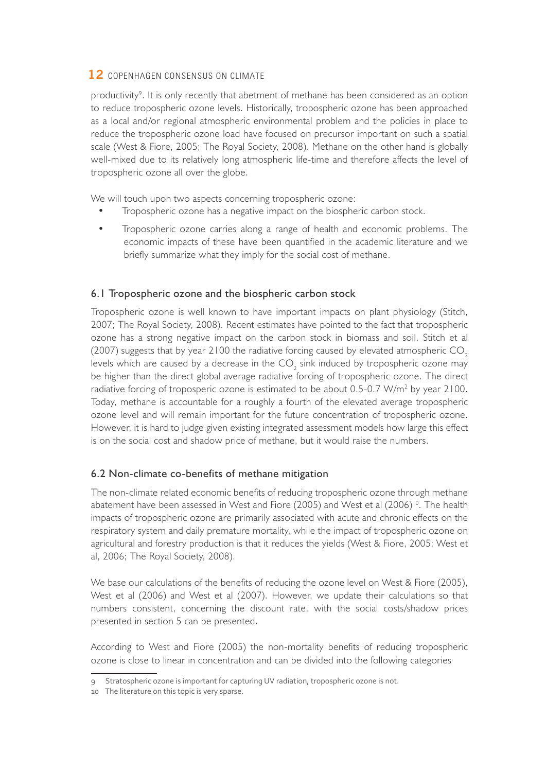productivity<sup>9</sup>. It is only recently that abetment of methane has been considered as an option to reduce tropospheric ozone levels. Historically, tropospheric ozone has been approached as a local and/or regional atmospheric environmental problem and the policies in place to reduce the tropospheric ozone load have focused on precursor important on such a spatial scale (West & Fiore, 2005; The Royal Society, 2008). Methane on the other hand is globally well-mixed due to its relatively long atmospheric life-time and therefore affects the level of tropospheric ozone all over the globe.

We will touch upon two aspects concerning tropospheric ozone:

- Tropospheric ozone has a negative impact on the biospheric carbon stock.
- Tropospheric ozone carries along a range of health and economic problems. The economic impacts of these have been quantified in the academic literature and we briefly summarize what they imply for the social cost of methane.

#### 6.1 Tropospheric ozone and the biospheric carbon stock

Tropospheric ozone is well known to have important impacts on plant physiology (Stitch, 2007; The Royal Society, 2008). Recent estimates have pointed to the fact that tropospheric ozone has a strong negative impact on the carbon stock in biomass and soil. Stitch et al (2007) suggests that by year 2100 the radiative forcing caused by elevated atmospheric  $CO<sub>2</sub>$ levels which are caused by a decrease in the CO $_2$  sink induced by tropospheric ozone may be higher than the direct global average radiative forcing of tropospheric ozone. The direct radiative forcing of troposperic ozone is estimated to be about  $0.5$ -0.7 W/m<sup>2</sup> by year  $2100$ . Today, methane is accountable for a roughly a fourth of the elevated average tropospheric ozone level and will remain important for the future concentration of tropospheric ozone. However, it is hard to judge given existing integrated assessment models how large this effect is on the social cost and shadow price of methane, but it would raise the numbers.

#### 6.2 Non-climate co-benefits of methane mitigation

The non-climate related economic benefits of reducing tropospheric ozone through methane abatement have been assessed in West and Fiore (2005) and West et al  $(2006)^{10}$ . The health impacts of tropospheric ozone are primarily associated with acute and chronic effects on the respiratory system and daily premature mortality, while the impact of tropospheric ozone on agricultural and forestry production is that it reduces the yields (West & Fiore, 2005; West et al, 2006; The Royal Society, 2008).

We base our calculations of the benefits of reducing the ozone level on West & Fiore (2005), West et al (2006) and West et al (2007). However, we update their calculations so that numbers consistent, concerning the discount rate, with the social costs/shadow prices presented in section 5 can be presented.

According to West and Fiore (2005) the non-mortality benefits of reducing tropospheric ozone is close to linear in concentration and can be divided into the following categories

<sup>9</sup> Stratospheric ozone is important for capturing UV radiation, tropospheric ozone is not.

<sup>10</sup> The literature on this topic is very sparse.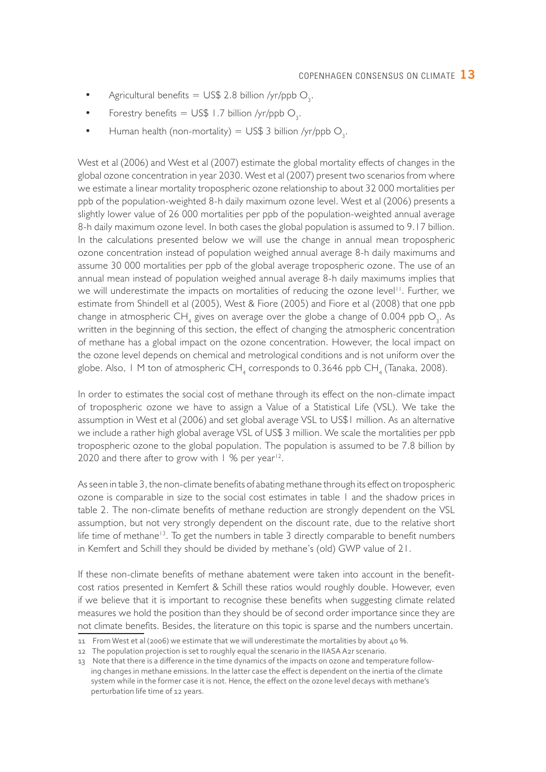- Agricultural benefits = US\$ 2.8 billion /yr/ppb  $O_3$ .
- Forestry benefits = US\$ 1.7 billion /yr/ppb  $O_3$ .
- Human health (non-mortality) =  $US$3$  billion /yr/ppb O<sub>3</sub>.

West et al (2006) and West et al (2007) estimate the global mortality effects of changes in the global ozone concentration in year 2030. West et al (2007) present two scenarios from where we estimate a linear mortality tropospheric ozone relationship to about 32 000 mortalities per ppb of the population-weighted 8-h daily maximum ozone level. West et al (2006) presents a slightly lower value of 26 000 mortalities per ppb of the population-weighted annual average 8-h daily maximum ozone level. In both cases the global population is assumed to 9.17 billion. In the calculations presented below we will use the change in annual mean tropospheric ozone concentration instead of population weighed annual average 8-h daily maximums and assume 30 000 mortalities per ppb of the global average tropospheric ozone. The use of an annual mean instead of population weighed annual average 8-h daily maximums implies that we will underestimate the impacts on mortalities of reducing the ozone level<sup>11</sup>. Further, we estimate from Shindell et al (2005), West & Fiore (2005) and Fiore et al (2008) that one ppb change in atmospheric CH<sub>4</sub> gives on average over the globe a change of 0.004 ppb O<sub>3</sub>. As written in the beginning of this section, the effect of changing the atmospheric concentration of methane has a global impact on the ozone concentration. However, the local impact on the ozone level depends on chemical and metrological conditions and is not uniform over the globe. Also, 1 M ton of atmospheric  $\mathsf{CH}_4$  corresponds to 0.3646 ppb  $\mathsf{CH}_4$  (Tanaka, 2008).

In order to estimates the social cost of methane through its effect on the non-climate impact of tropospheric ozone we have to assign a Value of a Statistical Life (VSL). We take the assumption in West et al (2006) and set global average VSL to US\$1 million. As an alternative we include a rather high global average VSL of US\$ 3 million. We scale the mortalities per ppb tropospheric ozone to the global population. The population is assumed to be 7.8 billion by 2020 and there after to grow with  $1\%$  per year<sup>12</sup>.

As seen in table 3, the non-climate benefits of abating methane through its effect on tropospheric ozone is comparable in size to the social cost estimates in table 1 and the shadow prices in table 2. The non-climate benefits of methane reduction are strongly dependent on the VSL assumption, but not very strongly dependent on the discount rate, due to the relative short life time of methane<sup>13</sup>. To get the numbers in table 3 directly comparable to benefit numbers in Kemfert and Schill they should be divided by methane's (old) GWP value of 21.

If these non-climate benefits of methane abatement were taken into account in the benefitcost ratios presented in Kemfert & Schill these ratios would roughly double. However, even if we believe that it is important to recognise these benefits when suggesting climate related measures we hold the position than they should be of second order importance since they are not climate benefits. Besides, the literature on this topic is sparse and the numbers uncertain.

<sup>11</sup> From West et al (2006) we estimate that we will underestimate the mortalities by about 40 %.

<sup>12</sup> The population projection is set to roughly equal the scenario in the IIASA A2r scenario.

<sup>13</sup> Note that there is a difference in the time dynamics of the impacts on ozone and temperature following changes in methane emissions. In the latter case the effect is dependent on the inertia of the climate system while in the former case it is not. Hence, the effect on the ozone level decays with methane's perturbation life time of 12 years.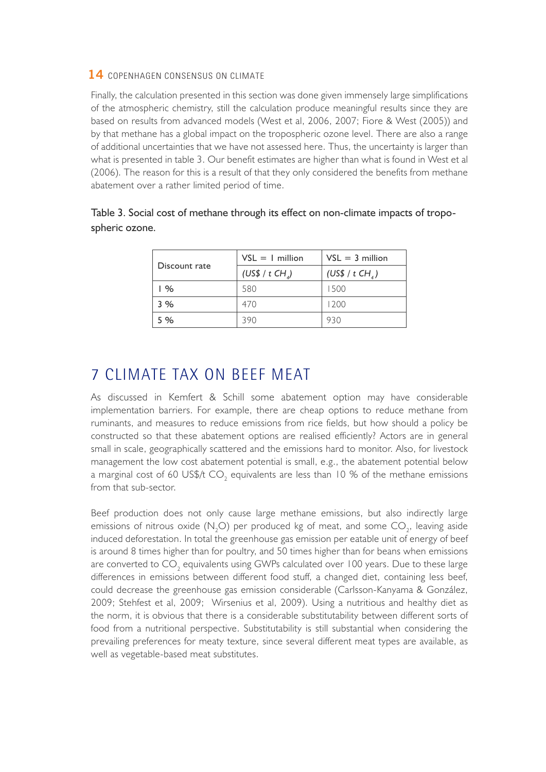Finally, the calculation presented in this section was done given immensely large simplifications of the atmospheric chemistry, still the calculation produce meaningful results since they are based on results from advanced models (West et al, 2006, 2007; Fiore & West (2005)) and by that methane has a global impact on the tropospheric ozone level. There are also a range of additional uncertainties that we have not assessed here. Thus, the uncertainty is larger than what is presented in table 3. Our benefit estimates are higher than what is found in West et al (2006). The reason for this is a result of that they only considered the benefits from methane abatement over a rather limited period of time.

|               | $VSL = I$ million             | $VSL = 3$ million             |  |
|---------------|-------------------------------|-------------------------------|--|
| Discount rate | (US\$ / $t$ CH <sub>4</sub> ) | (US\$ / $t$ CH <sub>4</sub> ) |  |
| 1%            | 580                           | 1500                          |  |
| 3%            | 470                           | 1200                          |  |
| 5%            | 390                           | 930                           |  |

|                | Table 3. Social cost of methane through its effect on non-climate impacts of tropo- |  |  |  |
|----------------|-------------------------------------------------------------------------------------|--|--|--|
| spheric ozone. |                                                                                     |  |  |  |

### 7 Climate tax on beef meat

As discussed in Kemfert & Schill some abatement option may have considerable implementation barriers. For example, there are cheap options to reduce methane from ruminants, and measures to reduce emissions from rice fields, but how should a policy be constructed so that these abatement options are realised efficiently? Actors are in general small in scale, geographically scattered and the emissions hard to monitor. Also, for livestock management the low cost abatement potential is small, e.g., the abatement potential below a marginal cost of 60 US\$/t CO<sub>2</sub> equivalents are less than 10 % of the methane emissions from that sub-sector.

Beef production does not only cause large methane emissions, but also indirectly large emissions of nitrous oxide (N<sub>2</sub>O) per produced kg of meat, and some CO<sub>2</sub>, leaving aside induced deforestation. In total the greenhouse gas emission per eatable unit of energy of beef is around 8 times higher than for poultry, and 50 times higher than for beans when emissions are converted to CO $_{_2}$  equivalents using GWPs calculated over 100 years. Due to these large differences in emissions between different food stuff, a changed diet, containing less beef, could decrease the greenhouse gas emission considerable (Carlsson-Kanyama & González, 2009; Stehfest et al, 2009; Wirsenius et al, 2009). Using a nutritious and healthy diet as the norm, it is obvious that there is a considerable substitutability between different sorts of food from a nutritional perspective. Substitutability is still substantial when considering the prevailing preferences for meaty texture, since several different meat types are available, as well as vegetable-based meat substitutes.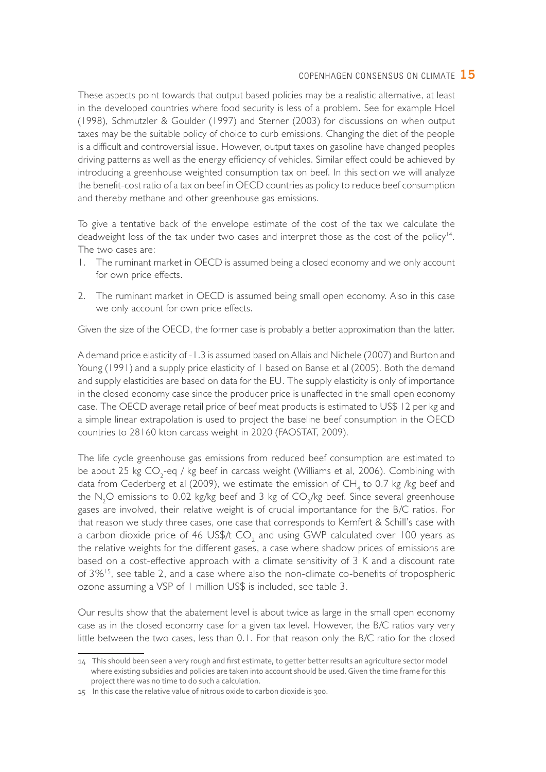These aspects point towards that output based policies may be a realistic alternative, at least in the developed countries where food security is less of a problem. See for example Hoel (1998), Schmutzler & Goulder (1997) and Sterner (2003) for discussions on when output taxes may be the suitable policy of choice to curb emissions. Changing the diet of the people is a difficult and controversial issue. However, output taxes on gasoline have changed peoples driving patterns as well as the energy efficiency of vehicles. Similar effect could be achieved by introducing a greenhouse weighted consumption tax on beef. In this section we will analyze the benefit-cost ratio of a tax on beef in OECD countries as policy to reduce beef consumption and thereby methane and other greenhouse gas emissions.

To give a tentative back of the envelope estimate of the cost of the tax we calculate the deadweight loss of the tax under two cases and interpret those as the cost of the policy<sup>14</sup>. The two cases are:

- 1. The ruminant market in OECD is assumed being a closed economy and we only account for own price effects.
- 2. The ruminant market in OECD is assumed being small open economy. Also in this case we only account for own price effects.

Given the size of the OECD, the former case is probably a better approximation than the latter.

A demand price elasticity of -1.3 is assumed based on Allais and Nichele (2007) and Burton and Young (1991) and a supply price elasticity of 1 based on Banse et al (2005). Both the demand and supply elasticities are based on data for the EU. The supply elasticity is only of importance in the closed economy case since the producer price is unaffected in the small open economy case. The OECD average retail price of beef meat products is estimated to US\$ 12 per kg and a simple linear extrapolation is used to project the baseline beef consumption in the OECD countries to 28160 kton carcass weight in 2020 (FAOSTAT, 2009).

The life cycle greenhouse gas emissions from reduced beef consumption are estimated to be about 25 kg CO<sub>2</sub>-eq / kg beef in carcass weight (Williams et al, 2006). Combining with data from Cederberg et al (2009), we estimate the emission of CH<sub>4</sub> to 0.7 kg /kg beef and the N<sub>2</sub>O emissions to 0.02 kg/kg beef and 3 kg of CO<sub>2</sub>/kg beef. Since several greenhouse gases are involved, their relative weight is of crucial importantance for the B/C ratios. For that reason we study three cases, one case that corresponds to Kemfert & Schill's case with a carbon dioxide price of 46 US\$/t CO<sub>2</sub> and using GWP calculated over 100 years as the relative weights for the different gases, a case where shadow prices of emissions are based on a cost-effective approach with a climate sensitivity of 3 K and a discount rate of 3%15, see table 2, and a case where also the non-climate co-benefits of tropospheric ozone assuming a VSP of 1 million US\$ is included, see table 3.

Our results show that the abatement level is about twice as large in the small open economy case as in the closed economy case for a given tax level. However, the B/C ratios vary very little between the two cases, less than 0.1. For that reason only the B/C ratio for the closed

<sup>14</sup> This should been seen a very rough and first estimate, to getter better results an agriculture sector model where existing subsidies and policies are taken into account should be used. Given the time frame for this project there was no time to do such a calculation.

<sup>15</sup> In this case the relative value of nitrous oxide to carbon dioxide is 300.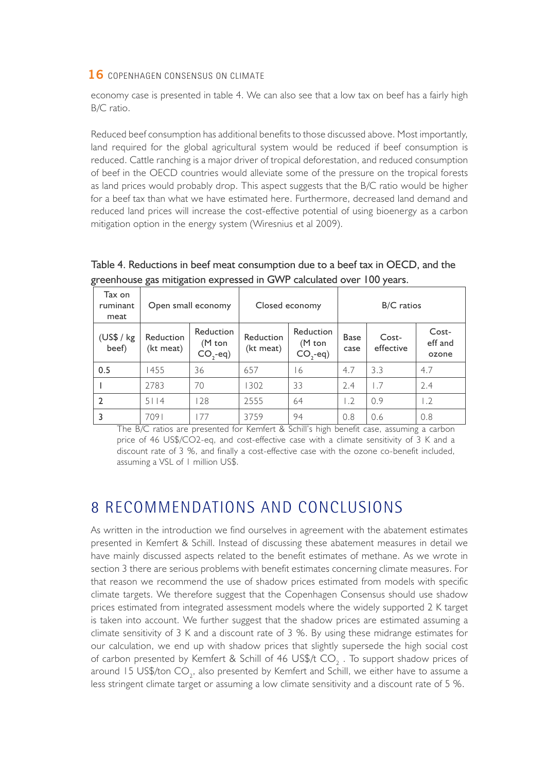economy case is presented in table 4. We can also see that a low tax on beef has a fairly high B/C ratio.

Reduced beef consumption has additional benefits to those discussed above. Most importantly, land required for the global agricultural system would be reduced if beef consumption is reduced. Cattle ranching is a major driver of tropical deforestation, and reduced consumption of beef in the OECD countries would alleviate some of the pressure on the tropical forests as land prices would probably drop. This aspect suggests that the B/C ratio would be higher for a beef tax than what we have estimated here. Furthermore, decreased land demand and reduced land prices will increase the cost-effective potential of using bioenergy as a carbon mitigation option in the energy system (Wiresnius et al 2009).

| Tax on<br>ruminant<br>meat | Open small economy     |                                               | Closed economy         |                                               | B/C ratios          |                    |                           |
|----------------------------|------------------------|-----------------------------------------------|------------------------|-----------------------------------------------|---------------------|--------------------|---------------------------|
| (US\$ / kg<br>beef)        | Reduction<br>(kt meat) | Reduction<br>$(M \text{ ton})$<br>$CO, -eq$ ) | Reduction<br>(kt meat) | Reduction<br>$(M \text{ ton})$<br>$CO, -eq$ ) | <b>Base</b><br>case | Cost-<br>effective | Cost-<br>eff and<br>ozone |
| 0.5                        | 1455                   | 36                                            | 657                    | 16                                            | 4.7                 | 3.3                | 4.7                       |
|                            | 2783                   | 70                                            | 1302                   | 33                                            | 2.4                 | 1.7                | 2.4                       |
| $\overline{2}$             | 5114                   | 128                                           | 2555                   | 64                                            | $\cdot$ 2           | 0.9                | $\overline{1.2}$          |
| 3                          | 7091                   | 77                                            | 3759                   | 94                                            | 0.8                 | 0.6                | 0.8                       |

Table 4. Reductions in beef meat consumption due to a beef tax in OECD, and the greenhouse gas mitigation expressed in GWP calculated over 100 years.

The B/C ratios are presented for Kemfert & Schill's high benefit case, assuming a carbon price of 46 US\$/CO2-eq, and cost-effective case with a climate sensitivity of 3 K and a discount rate of 3 %, and finally a cost-effective case with the ozone co-benefit included, assuming a VSL of 1 million US\$.

### 8 Recommendations and conclusions

As written in the introduction we find ourselves in agreement with the abatement estimates presented in Kemfert & Schill. Instead of discussing these abatement measures in detail we have mainly discussed aspects related to the benefit estimates of methane. As we wrote in section 3 there are serious problems with benefit estimates concerning climate measures. For that reason we recommend the use of shadow prices estimated from models with specific climate targets. We therefore suggest that the Copenhagen Consensus should use shadow prices estimated from integrated assessment models where the widely supported 2 K target is taken into account. We further suggest that the shadow prices are estimated assuming a climate sensitivity of 3 K and a discount rate of 3 %. By using these midrange estimates for our calculation, we end up with shadow prices that slightly supersede the high social cost of carbon presented by Kemfert & Schill of 46 US\$/t CO<sub>2</sub>. To support shadow prices of around 15 US\$/ton CO<sub>2</sub>, also presented by Kemfert and Schill, we either have to assume a less stringent climate target or assuming a low climate sensitivity and a discount rate of 5 %.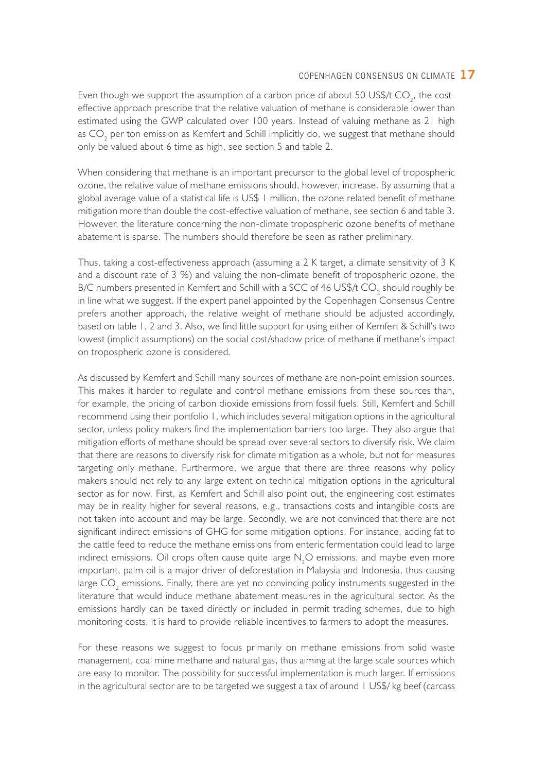Even though we support the assumption of a carbon price of about 50 US\$/t CO<sub>2</sub>, the costeffective approach prescribe that the relative valuation of methane is considerable lower than estimated using the GWP calculated over 100 years. Instead of valuing methane as 21 high as CO<sub>2</sub> per ton emission as Kemfert and Schill implicitly do, we suggest that methane should only be valued about 6 time as high, see section 5 and table 2.

When considering that methane is an important precursor to the global level of tropospheric ozone, the relative value of methane emissions should, however, increase. By assuming that a global average value of a statistical life is US\$ 1 million, the ozone related benefit of methane mitigation more than double the cost-effective valuation of methane, see section 6 and table 3. However, the literature concerning the non-climate tropospheric ozone benefits of methane abatement is sparse. The numbers should therefore be seen as rather preliminary.

Thus, taking a cost-effectiveness approach (assuming a 2 K target, a climate sensitivity of 3 K and a discount rate of 3 %) and valuing the non-climate benefit of tropospheric ozone, the B/C numbers presented in Kemfert and Schill with a SCC of 46  $US$/t$  CO<sub>2</sub> should roughly be in line what we suggest. If the expert panel appointed by the Copenhagen Consensus Centre prefers another approach, the relative weight of methane should be adjusted accordingly, based on table 1, 2 and 3. Also, we find little support for using either of Kemfert & Schill's two lowest (implicit assumptions) on the social cost/shadow price of methane if methane's impact on tropospheric ozone is considered.

As discussed by Kemfert and Schill many sources of methane are non-point emission sources. This makes it harder to regulate and control methane emissions from these sources than, for example, the pricing of carbon dioxide emissions from fossil fuels. Still, Kemfert and Schill recommend using their portfolio 1, which includes several mitigation options in the agricultural sector, unless policy makers find the implementation barriers too large. They also argue that mitigation efforts of methane should be spread over several sectors to diversify risk. We claim that there are reasons to diversify risk for climate mitigation as a whole, but not for measures targeting only methane. Furthermore, we argue that there are three reasons why policy makers should not rely to any large extent on technical mitigation options in the agricultural sector as for now. First, as Kemfert and Schill also point out, the engineering cost estimates may be in reality higher for several reasons, e.g., transactions costs and intangible costs are not taken into account and may be large. Secondly, we are not convinced that there are not significant indirect emissions of GHG for some mitigation options. For instance, adding fat to the cattle feed to reduce the methane emissions from enteric fermentation could lead to large indirect emissions. Oil crops often cause quite large  $\rm N_2O$  emissions, and maybe even more important, palm oil is a major driver of deforestation in Malaysia and Indonesia, thus causing large  $\mathrm{CO}_2^{\phantom{\dag}}$  emissions. Finally, there are yet no convincing policy instruments suggested in the literature that would induce methane abatement measures in the agricultural sector. As the emissions hardly can be taxed directly or included in permit trading schemes, due to high monitoring costs, it is hard to provide reliable incentives to farmers to adopt the measures.

For these reasons we suggest to focus primarily on methane emissions from solid waste management, coal mine methane and natural gas, thus aiming at the large scale sources which are easy to monitor. The possibility for successful implementation is much larger. If emissions in the agricultural sector are to be targeted we suggest a tax of around 1 US\$/ kg beef (carcass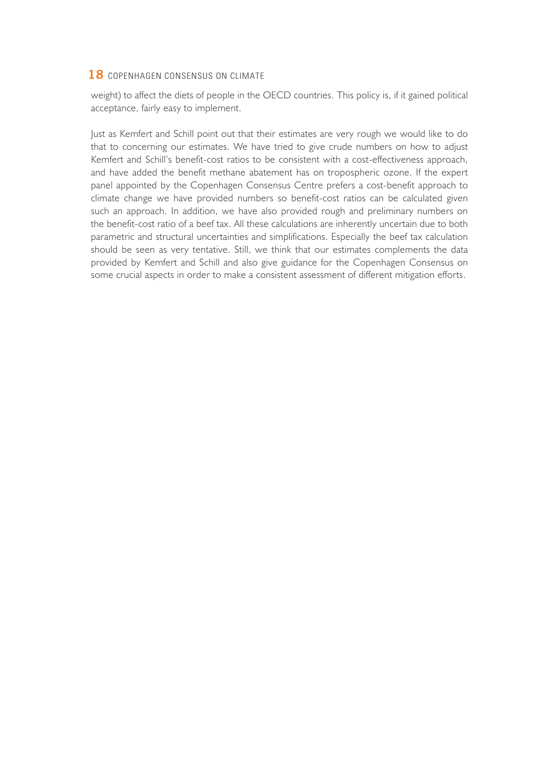weight) to affect the diets of people in the OECD countries. This policy is, if it gained political acceptance, fairly easy to implement.

Just as Kemfert and Schill point out that their estimates are very rough we would like to do that to concerning our estimates. We have tried to give crude numbers on how to adjust Kemfert and Schill's benefit-cost ratios to be consistent with a cost-effectiveness approach, and have added the benefit methane abatement has on tropospheric ozone. If the expert panel appointed by the Copenhagen Consensus Centre prefers a cost-benefit approach to climate change we have provided numbers so benefit-cost ratios can be calculated given such an approach. In addition, we have also provided rough and preliminary numbers on the benefit-cost ratio of a beef tax. All these calculations are inherently uncertain due to both parametric and structural uncertainties and simplifications. Especially the beef tax calculation should be seen as very tentative. Still, we think that our estimates complements the data provided by Kemfert and Schill and also give guidance for the Copenhagen Consensus on some crucial aspects in order to make a consistent assessment of different mitigation efforts.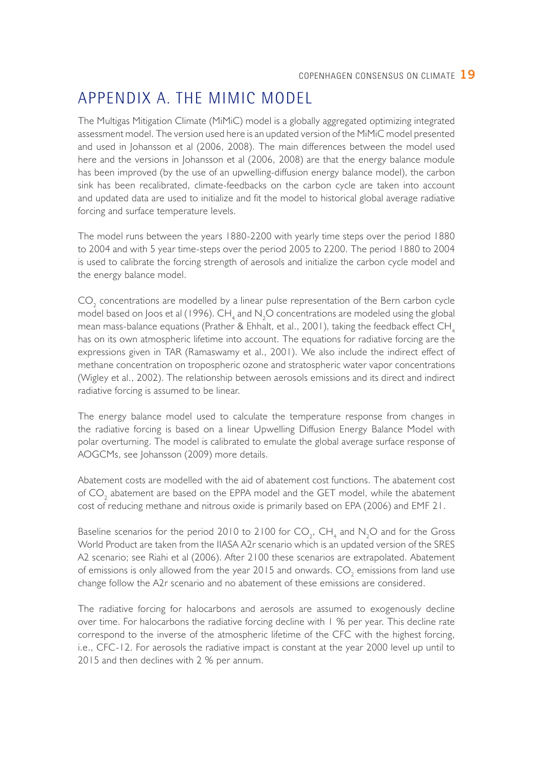### Appendix A. The MiMiC model

The Multigas Mitigation Climate (MiMiC) model is a globally aggregated optimizing integrated assessment model. The version used here is an updated version of the MiMiC model presented and used in Johansson et al (2006, 2008). The main differences between the model used here and the versions in Johansson et al (2006, 2008) are that the energy balance module has been improved (by the use of an upwelling-diffusion energy balance model), the carbon sink has been recalibrated, climate-feedbacks on the carbon cycle are taken into account and updated data are used to initialize and fit the model to historical global average radiative forcing and surface temperature levels.

The model runs between the years 1880-2200 with yearly time steps over the period 1880 to 2004 and with 5 year time-steps over the period 2005 to 2200. The period 1880 to 2004 is used to calibrate the forcing strength of aerosols and initialize the carbon cycle model and the energy balance model.

 $\text{CO}_2$  concentrations are modelled by a linear pulse representation of the Bern carbon cycle model based on Joos et al (1996).  $\mathsf{CH}_4$  and  $\mathsf{N}_2\mathsf{O}$  concentrations are modeled using the global mean mass-balance equations (Prather & Ehhalt, et al., 2001), taking the feedback effect  $CH<sub>4</sub>$ has on its own atmospheric lifetime into account. The equations for radiative forcing are the expressions given in TAR (Ramaswamy et al., 2001). We also include the indirect effect of methane concentration on tropospheric ozone and stratospheric water vapor concentrations (Wigley et al., 2002). The relationship between aerosols emissions and its direct and indirect radiative forcing is assumed to be linear.

The energy balance model used to calculate the temperature response from changes in the radiative forcing is based on a linear Upwelling Diffusion Energy Balance Model with polar overturning. The model is calibrated to emulate the global average surface response of AOGCMs, see Johansson (2009) more details.

Abatement costs are modelled with the aid of abatement cost functions. The abatement cost of  $CO_2$  abatement are based on the EPPA model and the GET model, while the abatement cost of reducing methane and nitrous oxide is primarily based on EPA (2006) and EMF 21.

Baseline scenarios for the period 2010 to 2100 for  $CO_2$ , CH<sub>4</sub> and N<sub>2</sub>O and for the Gross World Product are taken from the IIASA A2r scenario which is an updated version of the SRES A2 scenario; see Riahi et al (2006). After 2100 these scenarios are extrapolated. Abatement of emissions is only allowed from the year 2015 and onwards.  $\mathsf{CO}_2$  emissions from land use change follow the A2r scenario and no abatement of these emissions are considered.

The radiative forcing for halocarbons and aerosols are assumed to exogenously decline over time. For halocarbons the radiative forcing decline with 1 % per year. This decline rate correspond to the inverse of the atmospheric lifetime of the CFC with the highest forcing, i.e., CFC-12. For aerosols the radiative impact is constant at the year 2000 level up until to 2015 and then declines with 2 % per annum.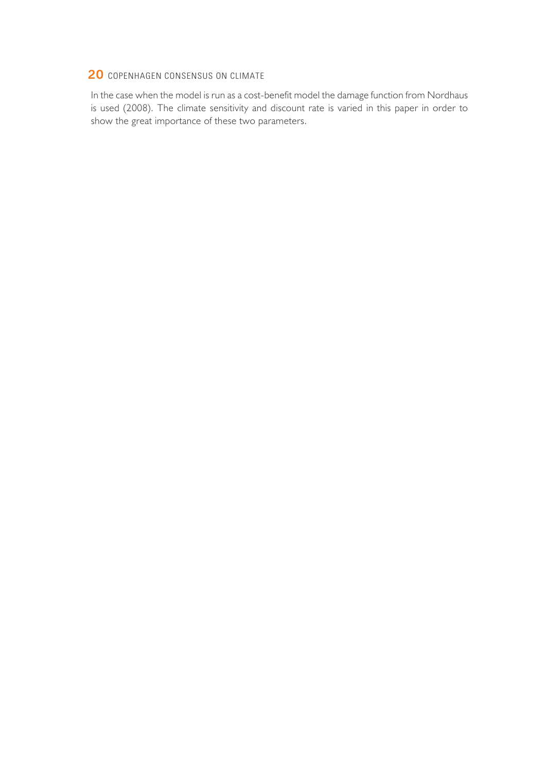In the case when the model is run as a cost-benefit model the damage function from Nordhaus is used (2008). The climate sensitivity and discount rate is varied in this paper in order to show the great importance of these two parameters.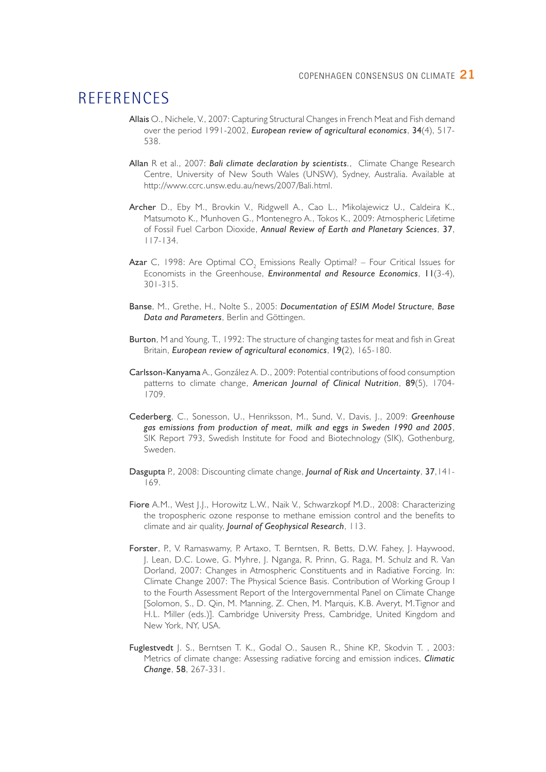### **REFERENCES**

- Allais O., Nichele, V., 2007: Capturing Structural Changes in French Meat and Fish demand over the period 1991-2002, *European review of agricultural economics*, 34(4), 517- 538.
- Allan R et al., 2007: *Bali climate declaration by scientists.*, Climate Change Research Centre, University of New South Wales (UNSW), Sydney, Australia. Available at http://www.ccrc.unsw.edu.au/news/2007/Bali.html.
- Archer D., Eby M., Brovkin V., Ridgwell A., Cao L., Mikolajewicz U., Caldeira K., Matsumoto K., Munhoven G., Montenegro A., Tokos K., 2009: Atmospheric Lifetime of Fossil Fuel Carbon Dioxide, *Annual Review of Earth and Planetary Sciences*, 37, 117-134.
- **Azar** C, 1998: Are Optimal CO<sub>2</sub> Emissions Really Optimal? Four Critical Issues for Economists in the Greenhouse, *Environmental and Resource Economics*, 11(3-4), 301-315.
- Banse, M., Grethe, H., Nolte S., 2005: *Documentation of ESIM Model Structure, Base Data and Parameters*, Berlin and Göttingen.
- Burton, M and Young, T., 1992: The structure of changing tastes for meat and fish in Great Britain, *European review of agricultural economics*, 19(2), 165-180.
- Carlsson-Kanyama A., González A. D., 2009: Potential contributions of food consumption patterns to climate change, *American Journal of Clinical Nutrition*, 89(5), 1704- 1709.
- Cederberg, C., Sonesson, U., Henriksson, M., Sund, V., Davis, J., 2009: *Greenhouse gas emissions from production of meat, milk and eggs in Sweden 1990 and 2005*, SIK Report 793, Swedish Institute for Food and Biotechnology (SIK), Gothenburg, Sweden.
- Dasgupta P., 2008: Discounting climate change, *Journal of Risk and Uncertainty*, 37,141- 169.
- Fiore A.M., West J.J., Horowitz L.W., Naik V., Schwarzkopf M.D., 2008: Characterizing the tropospheric ozone response to methane emission control and the benefits to climate and air quality, *Journal of Geophysical Research*, 113.
- Forster, P., V. Ramaswamy, P. Artaxo, T. Berntsen, R. Betts, D.W. Fahey, J. Haywood, J. Lean, D.C. Lowe, G. Myhre, J. Nganga, R. Prinn, G. Raga, M. Schulz and R. Van Dorland, 2007: Changes in Atmospheric Constituents and in Radiative Forcing. In: Climate Change 2007: The Physical Science Basis. Contribution of Working Group I to the Fourth Assessment Report of the Intergovernmental Panel on Climate Change [Solomon, S., D. Qin, M. Manning, Z. Chen, M. Marquis, K.B. Averyt, M.Tignor and H.L. Miller (eds.)]. Cambridge University Press, Cambridge, United Kingdom and New York, NY, USA.
- Fuglestvedt J. S., Berntsen T. K., Godal O., Sausen R., Shine KP., Skodvin T. , 2003: Metrics of climate change: Assessing radiative forcing and emission indices, *Climatic Change*, 58, 267-331.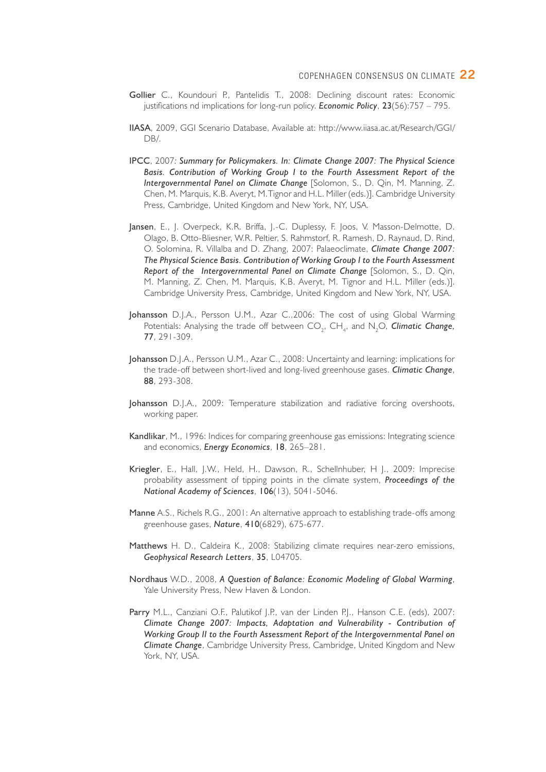- Gollier C., Koundouri P., Pantelidis T., 2008: Declining discount rates: Economic justifications nd implications for long-run policy. *Economic Policy*, 23(56):757 – 795.
- IIASA, 2009, GGI Scenario Database, Available at: http://www.iiasa.ac.at/Research/GGI/ DB/.
- IPCC, 2007*: Summary for Policymakers. In: Climate Change 2007: The Physical Science Basis. Contribution of Working Group I to the Fourth Assessment Report of the Intergovernmental Panel on Climate Change* [Solomon, S., D. Qin, M. Manning, Z. Chen, M. Marquis, K.B. Averyt, M.Tignor and H.L. Miller (eds.)]. Cambridge University Press, Cambridge, United Kingdom and New York, NY, USA.
- Jansen, E., J. Overpeck, K.R. Briffa, J.-C. Duplessy, F. Joos, V. Masson-Delmotte, D. Olago, B. Otto-Bliesner, W.R. Peltier, S. Rahmstorf, R. Ramesh, D. Raynaud, D. Rind, O. Solomina, R. Villalba and D. Zhang, 2007: Palaeoclimate, *Climate Change 2007: The Physical Science Basis. Contribution of Working Group I to the Fourth Assessment Report of the Intergovernmental Panel on Climate Change* [Solomon, S., D. Qin, M. Manning, Z. Chen, M. Marquis, K.B. Averyt, M. Tignor and H.L. Miller (eds.)]. Cambridge University Press, Cambridge, United Kingdom and New York, NY, USA.
- Johansson D.J.A., Persson U.M., Azar C.,2006: The cost of using Global Warming Potentials: Analysing the trade off between CO<sub>2</sub>, CH<sub>4</sub>, and N<sub>2</sub>O, **Climatic Change,** 77, 291-309.
- Johansson D.J.A., Persson U.M., Azar C., 2008: Uncertainty and learning: implications for the trade-off between short-lived and long-lived greenhouse gases. *Climatic Change*, 88, 293-308.
- Johansson D.J.A., 2009: Temperature stabilization and radiative forcing overshoots, working paper.
- Kandlikar, M., 1996: Indices for comparing greenhouse gas emissions: Integrating science and economics, *Energy Economics*, 18, 265–281.
- Kriegler, E., Hall, J.W., Held, H., Dawson, R., Schellnhuber, H J., 2009: Imprecise probability assessment of tipping points in the climate system, *Proceedings of the National Academy of Sciences*, 106(13), 5041-5046.
- Manne A.S., Richels R.G., 2001: An alternative approach to establishing trade-offs among greenhouse gases, *Nature*, 410(6829), 675-677.
- Matthews H. D., Caldeira K., 2008: Stabilizing climate requires near-zero emissions, *Geophysical Research Letters*, 35, L04705.
- Nordhaus W.D., 2008, *A Question of Balance: Economic Modeling of Global Warming*, Yale University Press, New Haven & London.
- Parry M.L., Canziani O.F., Palutikof J.P., van der Linden P.J., Hanson C.E. (eds), 2007: *Climate Change 2007: Impacts, Adaptation and Vulnerability - Contribution of Working Group II to the Fourth Assessment Report of the Intergovernmental Panel on Climate Change*, Cambridge University Press, Cambridge, United Kingdom and New York, NY, USA.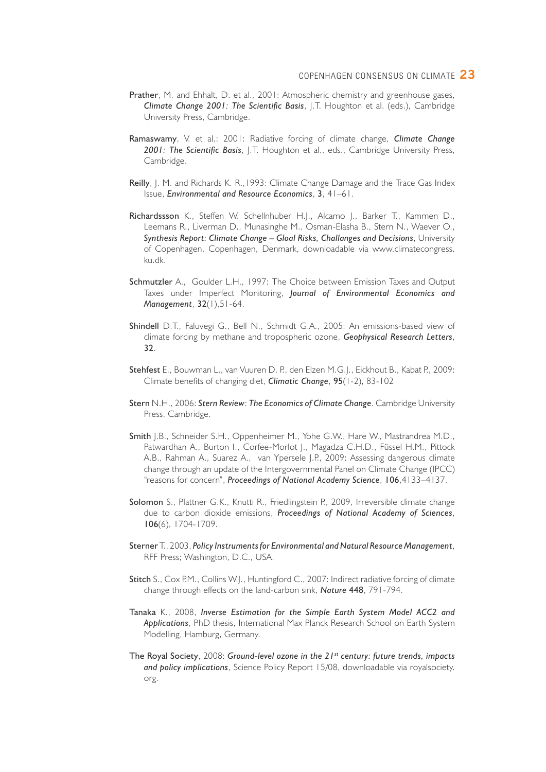- Prather, M. and Ehhalt, D. et al., 2001: Atmospheric chemistry and greenhouse gases, *Climate Change 2001: The Scientific Basis*, J.T. Houghton et al. (eds.), Cambridge University Press, Cambridge.
- Ramaswamy, V. et al.: 2001: Radiative forcing of climate change, *Climate Change 2001: The Scientific Basis*, J.T. Houghton et al., eds., Cambridge University Press, Cambridge.
- Reilly, J. M. and Richards K. R.,1993: Climate Change Damage and the Trace Gas Index Issue, *Environmental and Resource Economics*, 3, 41–61.
- Richardssson K., Steffen W. Schellnhuber H.J., Alcamo J., Barker T., Kammen D., Leemans R., Liverman D., Munasinghe M., Osman-Elasha B., Stern N., Waever O., *Synthesis Report: Climate Change – Gloal Risks, Challanges and Decisions*, University of Copenhagen, Copenhagen, Denmark, downloadable via www.climatecongress. ku.dk.
- Schmutzler A., Goulder L.H., 1997: The Choice between Emission Taxes and Output Taxes under Imperfect Monitoring, *Journal of Environmental Economics and Management*, 32(1),51-64.
- Shindell D.T., Faluvegi G., Bell N., Schmidt G.A., 2005: An emissions-based view of climate forcing by methane and tropospheric ozone, *Geophysical Research Letters*, 32.
- Stehfest E., Bouwman L., van Vuuren D. P., den Elzen M.G.J., Eickhout B., Kabat P., 2009: Climate benefits of changing diet, *Climatic Change*, 95(1-2), 83-102
- Stern N.H., 2006: *Stern Review: The Economics of Climate Change*. Cambridge University Press, Cambridge.
- Smith J.B., Schneider S.H., Oppenheimer M., Yohe G.W., Hare W., Mastrandrea M.D., Patwardhan A., Burton I., Corfee-Morlot J., Magadza C.H.D., Füssel H.M., Pittock A.B., Rahman A., Suarez A., van Ypersele J.P., 2009: Assessing dangerous climate change through an update of the Intergovernmental Panel on Climate Change (IPCC) "reasons for concern", *Proceedings of National Academy Science*, 106,4133–4137.
- Solomon S., Plattner G.K., Knutti R., Friedlingstein P., 2009, Irreversible climate change due to carbon dioxide emissions, *Proceedings of National Academy of Sciences*, 106(6), 1704-1709.
- Sterner T., 2003, *Policy Instruments for Environmental and Natural Resource Management*, RFF Press; Washington, D.C., USA.
- Stitch S., Cox P.M., Collins W.J., Huntingford C., 2007: Indirect radiative forcing of climate change through effects on the land-carbon sink, *Nature* 448, 791-794.
- Tanaka K., 2008, *Inverse Estimation for the Simple Earth System Model ACC2 and Applications*, PhD thesis, International Max Planck Research School on Earth System Modelling, Hamburg, Germany.
- The Royal Society, 2008: *Ground-level ozone in the 21st century: future trends, impacts and policy implications*, Science Policy Report 15/08, downloadable via royalsociety. org.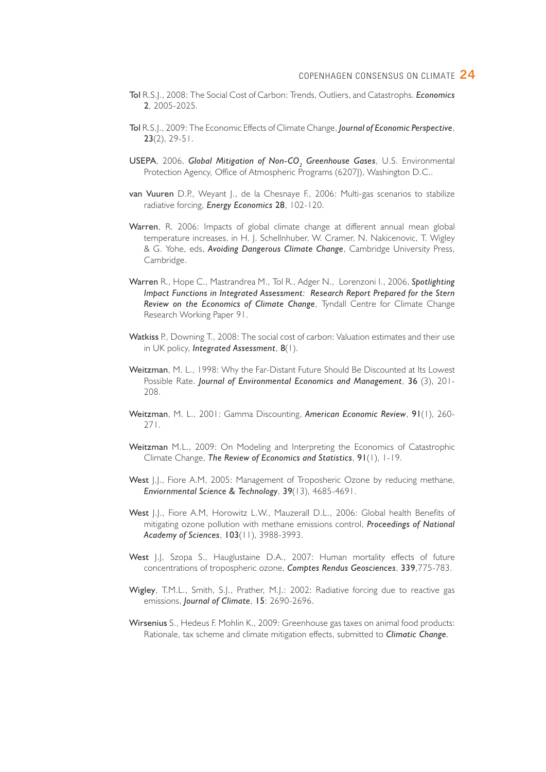- Tol R.S.J., 2008: The Social Cost of Carbon: Trends, Outliers, and Catastrophs. *Economics* 2, 2005-2025.
- Tol R.S.J., 2009: The Economic Effects of Climate Change, *Journal of Economic Perspective*,  $23(2)$ ,  $29-51$ .
- USEPA, 2006, Global Mitigation of Non-CO<sub>2</sub> Greenhouse Gases, U.S. Environmental Protection Agency, Office of Atmospheric Programs (6207J), Washington D.C..
- van Vuuren D.P., Weyant J., de la Chesnaye F., 2006: Multi-gas scenarios to stabilize radiative forcing, *Energy Economics* 28, 102-120.
- Warren, R. 2006: Impacts of global climate change at different annual mean global temperature increases, in H. J. Schellnhuber, W. Cramer, N. Nakicenovic, T. Wigley & G. Yohe, eds, *Avoiding Dangerous Climate Change*, Cambridge University Press, Cambridge.
- Warren R., Hope C., Mastrandrea M., Tol R., Adger N., Lorenzoni I., 2006, *Spotlighting Impact Functions in Integrated Assessment: Research Report Prepared for the Stern Review on the Economics of Climate Change*, Tyndall Centre for Climate Change Research Working Paper 91.
- Watkiss P., Downing T., 2008: The social cost of carbon: Valuation estimates and their use in UK policy, *Integrated Assessment*, 8(1).
- Weitzman, M. L., 1998: Why the Far-Distant Future Should Be Discounted at Its Lowest Possible Rate. *Journal of Environmental Economics and Management*, 36 (3), 201- 208.
- Weitzman, M. L., 2001: Gamma Discounting, *American Economic Review*, 91(1), 260- 271.
- Weitzman M.L., 2009: On Modeling and Interpreting the Economics of Catastrophic Climate Change, *The Review of Economics and Statistics*, 91(1), 1-19.
- West J.J., Fiore A.M, 2005: Management of Troposheric Ozone by reducing methane, *Enviornmental Science & Technology*, 39(13), 4685-4691.
- West J.J., Fiore A.M, Horowitz L.W., Mauzerall D.L., 2006: Global health Benefits of mitigating ozone pollution with methane emissions control, *Proceedings of National Academy of Sciences*, 103(11), 3988-3993.
- West J.J., Szopa S., Hauglustaine D.A., 2007: Human mortality effects of future concentrations of tropospheric ozone, *Comptes Rendus Geosciences*, 339,775-783.
- Wigley, T.M.L., Smith, S.J., Prather, M.J.: 2002: Radiative forcing due to reactive gas emissions, *Journal of Climate*, 15: 2690-2696.
- Wirsenius S., Hedeus F. Mohlin K., 2009: Greenhouse gas taxes on animal food products: Rationale, tax scheme and climate mitigation effects, submitted to *Climatic Change.*